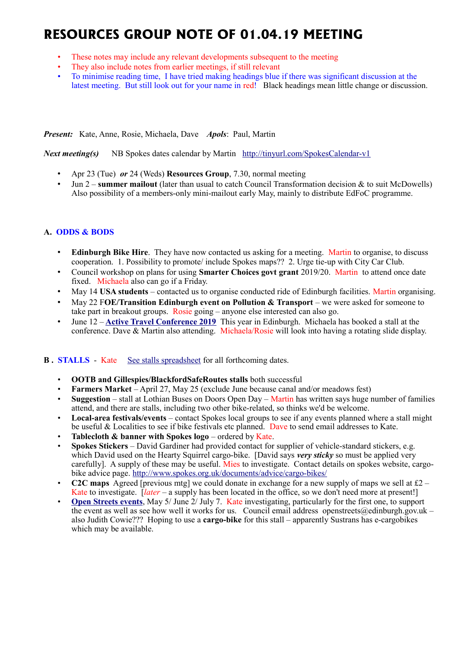# **RESOURCES GROUP NOTE OF 01.04.19 MEETING**

- These notes may include any relevant developments subsequent to the meeting
- They also include notes from earlier meetings, if still relevant
- To minimise reading time, I have tried making headings blue if there was significant discussion at the latest meeting. But still look out for your name in red! Black headings mean little change or discussion.

*Present:* Kate, Anne, Rosie, Michaela, Dave *Apols*: Paul, Martin

*Next meeting(s)*NB Spokes dates calendar by Martin <http://tinyurl.com/SpokesCalendar-v1>

- Apr 23 (Tue) *or* 24 (Weds) **Resources Group**, 7.30, normal meeting
- Jun 2 **summer mailout** (later than usual to catch Council Transformation decision & to suit McDowells) Also possibility of a members-only mini-mailout early May, mainly to distribute EdFoC programme.

# **A. ODDS & BODS**

- **Edinburgh Bike Hire**. They have now contacted us asking for a meeting. Martin to organise, to discuss cooperation. 1. Possibility to promote/ include Spokes maps?? 2. Urge tie-up with City Car Club.
- Council workshop on plans for using **Smarter Choices govt grant** 2019/20. Martin to attend once date fixed. Michaela also can go if a Friday.
- May 14 **USA students** contacted us to organise conducted ride of Edinburgh facilities. Martin organising.
- May 22 F**OE/Transition Edinburgh event on Pollution & Transport** we were asked for someone to take part in breakout groups. Rosie going – anyone else interested can also go.
- June 12 **[Active Travel Conference 2019](https://mailchi.mp/1a0730790840/scotlands-active-travel-conference-2019-registration-now-open?e=78da4eaa82)** This year in Edinburgh. Michaela has booked a stall at the conference. Dave & Martin also attending. Michaela/Rosie will look into having a rotating slide display.

## **B.** STALLS - Kate [See stalls spreadsheet](https://docs.google.com/spreadsheets/d/1ixmHbC_ROc0P1GdGfFFx5hFzYwe4wZuTg5QcqDY7yWQ/edit?usp=drivesdk) for all forthcoming dates.

- **OOTB and Gillespies/BlackfordSafeRoutes stalls** both successful
- **Farmers Market** April 27, May 25 (exclude June because canal and/or meadows fest)
- **Suggestion** stall at Lothian Buses on Doors Open Day Martin has written says huge number of families attend, and there are stalls, including two other bike-related, so thinks we'd be welcome.
- **Local-area festivals/events** contact Spokes local groups to see if any events planned where a stall might be useful & Localities to see if bike festivals etc planned. Dave to send email addresses to Kate.
- **Tablecloth & banner with Spokes logo** ordered by Kate.
- **Spokes Stickers** David Gardiner had provided contact for supplier of vehicle-standard stickers, e.g. which David used on the Hearty Squirrel cargo-bike. [David says *very sticky* so must be applied very carefully]. A supply of these may be useful. Mies to investigate. Contact details on spokes website, cargobike advice page.<http://www.spokes.org.uk/documents/advice/cargo-bikes/>
- **C2C maps** Agreed [previous mtg] we could donate in exchange for a new supply of maps we sell at  $\mathcal{L}2$  Kate to investigate. [*later* – a supply has been located in the office, so we don't need more at present!]
- **[Open Streets events](http://www.edinburgh.gov.uk/connectingplaces/info/9/consultation/20/open_streets_consultation)**, May 5/ June 2/ July 7. Kate investigating, particularly for the first one, to support the event as well as see how well it works for us. Council email address openstreets@edinburgh.gov.uk – also Judith Cowie??? Hoping to use a **cargo-bike** for this stall – apparently Sustrans has e-cargobikes which may be available.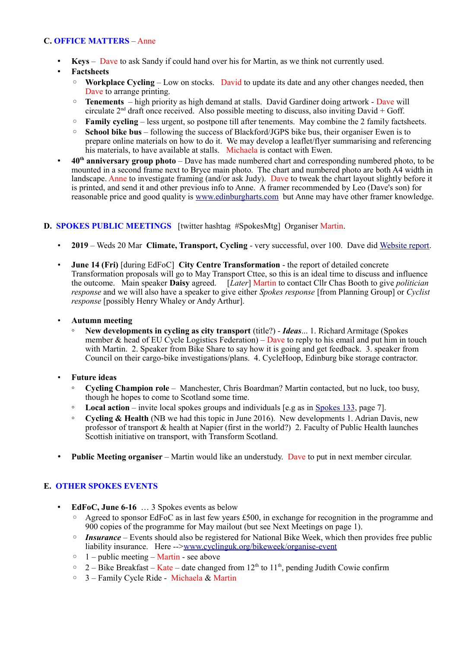## **C. OFFICE MATTERS** – Anne

- **Keys** Dave to ask Sandy if could hand over his for Martin, as we think not currently used.
- **Factsheets**
	- **Workplace Cycling** Low on stocks. David to update its date and any other changes needed, then Dave to arrange printing.
	- **Tenements**  high priority as high demand at stalls. David Gardiner doing artwork Dave will circulate  $2<sup>nd</sup>$  draft once received. Also possible meeting to discuss, also inviting David + Goff.
	- **Family cycling** less urgent, so postpone till after tenements. May combine the 2 family factsheets.
	- **School bike bus** following the success of Blackford/JGPS bike bus, their organiser Ewen is to prepare online materials on how to do it. We may develop a leaflet/flyer summarising and referencing his materials, to have available at stalls. Michaela is contact with Ewen.
- **40th anniversary group photo** Dave has made numbered chart and corresponding numbered photo, to be mounted in a second frame next to Bryce main photo. The chart and numbered photo are both A4 width in landscape. Anne to investigate framing (and/or ask Judy). Dave to tweak the chart layout slightly before it is printed, and send it and other previous info to Anne. A framer recommended by Leo (Dave's son) for reasonable price and good quality is [www.edinburgharts.com](http://www.edinburgharts.com/) but Anne may have other framer knowledge.

## **D. SPOKES PUBLIC MEETINGS** [twitter hashtag #SpokesMtg] Organiser Martin.

- **2019** Weds 20 Mar **Climate, Transport, Cycling** very successful, over 100. Dave did [Website report.](http://www.spokes.org.uk/2019/03/spokesmtg-climate-transport-cycling/)
- **June 14 (Fri)** [during EdFoC] **City Centre Transformation** the report of detailed concrete Transformation proposals will go to May Transport Cttee, so this is an ideal time to discuss and influence the outcome. Main speaker **Daisy** agreed. [*Later*] Martin to contact Cllr Chas Booth to give *politician response* and we will also have a speaker to give either *Spokes response* [from Planning Group] or *Cyclist response* [possibly Henry Whaley or Andy Arthur].
- **Autumn meeting**
	- **New developments in cycling as city transport** (title?) *Ideas*... 1. Richard Armitage (Spokes member & head of EU Cycle Logistics Federation) – Dave to reply to his email and put him in touch with Martin. 2. Speaker from Bike Share to say how it is going and get feedback. 3. speaker from Council on their cargo-bike investigations/plans. 4. CycleHoop, Edinburg bike storage contractor.
- **Future ideas**
	- **Cycling Champion role** Manchester, Chris Boardman? Martin contacted, but no luck, too busy, though he hopes to come to Scotland some time.
	- **Local action** invite local spokes groups and individuals [e.g as in [Spokes 133,](http://www.spokes.org.uk/wp-content/uploads/2019/02/pall-at-95.pdf) page 7].
	- **Cycling & Health** (NB we had this topic in June 2016). New developments 1. Adrian Davis, new professor of transport & health at Napier (first in the world?) 2. Faculty of Public Health launches Scottish initiative on transport, with Transform Scotland.
- **Public Meeting organiser** Martin would like an understudy. Dave to put in next member circular.

## **E. OTHER SPOKES EVENTS**

- **EdFoC, June 6-16** … 3 Spokes events as below
	- Agreed to sponsor EdFoC as in last few years £500, in exchange for recognition in the programme and 900 copies of the programme for May mailout (but see Next Meetings on page 1).
	- *Insurance* Events should also be registered for National Bike Week, which then provides free public liability insurance. Here --[>www.cyclinguk.org/bikeweek/organise-event](http://www.cyclinguk.org/bikeweek/organise-event)
	- $1$  public meeting Martin see above
	- 2 Bike Breakfast Kate date changed from  $12<sup>th</sup>$  to  $11<sup>th</sup>$ , pending Judith Cowie confirm
	- 3 Family Cycle Ride Michaela & Martin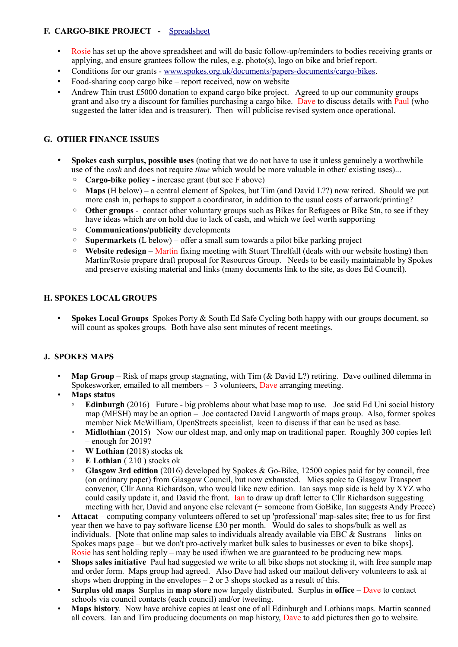# **F. CARGO-BIKE PROJECT -** [Spreadsheet](https://drive.google.com/drive/folders/1BuWIrWRXwrDyFuw-nDA8n9ms37oAeKwH)

- Rosie has set up the above spreadsheet and will do basic follow-up/reminders to bodies receiving grants or applying, and ensure grantees follow the rules, e.g. photo(s), logo on bike and brief report.
- Conditions for our grants - [www.spokes.org.uk/documents/papers-documents/cargo-bikes.](http://www.spokes.org.uk/documents/papers-documents/cargo-bikes)
- Food-sharing coop cargo bike report received, now on website
- Andrew Thin trust  $£5000$  donation to expand cargo bike project. Agreed to up our community groups grant and also try a discount for families purchasing a cargo bike. Dave to discuss details with Paul (who suggested the latter idea and is treasurer). Then will publicise revised system once operational.

## **G. OTHER FINANCE ISSUES**

- **Spokes cash surplus, possible uses** (noting that we do not have to use it unless genuinely a worthwhile use of the *cash* and does not require *time* which would be more valuable in other/ existing uses)...
	- **Cargo-bike policy** increase grant (but see F above)
	- **Maps** (H below) a central element of Spokes, but Tim (and David L??) now retired. Should we put more cash in, perhaps to support a coordinator, in addition to the usual costs of artwork/printing?
	- **Other groups** contact other voluntary groups such as Bikes for Refugees or Bike Stn, to see if they have ideas which are on hold due to lack of cash, and which we feel worth supporting
	- **Communications/publicity** developments
	- **Supermarkets** (L below) offer a small sum towards a pilot bike parking project
	- **Website redesign** Martin fixing meeting with Stuart Threlfall (deals with our website hosting) then Martin/Rosie prepare draft proposal for Resources Group. Needs to be easily maintainable by Spokes and preserve existing material and links (many documents link to the site, as does Ed Council).

### **H. SPOKES LOCAL GROUPS**

• **Spokes Local Groups** Spokes Porty & South Ed Safe Cycling both happy with our groups document, so will count as spokes groups. Both have also sent minutes of recent meetings.

#### **J. SPOKES MAPS**

- **Map Group** Risk of maps group stagnating, with Tim (& David L?) retiring. Dave outlined dilemma in Spokesworker, emailed to all members – 3 volunteers, Dave arranging meeting.
- **Maps status**
	- **Edinburgh** (2016) Future big problems about what base map to use. Joe said Ed Uni social history map (MESH) may be an option – Joe contacted David Langworth of maps group. Also, former spokes member Nick McWilliam, OpenStreets specialist, keen to discuss if that can be used as base.
	- **Midlothian** (2015) Now our oldest map, and only map on traditional paper. Roughly 300 copies left – enough for 2019?
	- **W Lothian** (2018) stocks ok
	- **E Lothian** ( 210 ) stocks ok
	- **Glasgow 3rd edition** (2016) developed by Spokes & Go-Bike, 12500 copies paid for by council, free (on ordinary paper) from Glasgow Council, but now exhausted. Mies spoke to Glasgow Transport convenor, Cllr Anna Richardson, who would like new edition. Ian says map side is held by XYZ who could easily update it, and David the front. Ian to draw up draft letter to Cllr Richardson suggesting meeting with her, David and anyone else relevant (+ someone from GoBike, Ian suggests Andy Preece)
- **Attacat** computing company volunteers offered to set up 'professional' map-sales site; free to us for first year then we have to pay software license £30 per month. Would do sales to shops/bulk as well as individuals. [Note that online map sales to individuals already available via EBC  $\&$  Sustrans – links on Spokes maps page – but we don't pro-actively market bulk sales to businesses or even to bike shops]. Rosie has sent holding reply – may be used if/when we are guaranteed to be producing new maps.
- **Shops sales initiative** Paul had suggested we write to all bike shops not stocking it, with free sample map and order form. Maps group had agreed. Also Dave had asked our mailout delivery volunteers to ask at shops when dropping in the envelopes  $-2$  or 3 shops stocked as a result of this.
- **Surplus old maps** Surplus in **map store** now largely distributed. Surplus in **office** Dave to contact schools via council contacts (each council) and/or tweeting.
- **Maps history**. Now have archive copies at least one of all Edinburgh and Lothians maps. Martin scanned all covers. Ian and Tim producing documents on map history, Dave to add pictures then go to website.